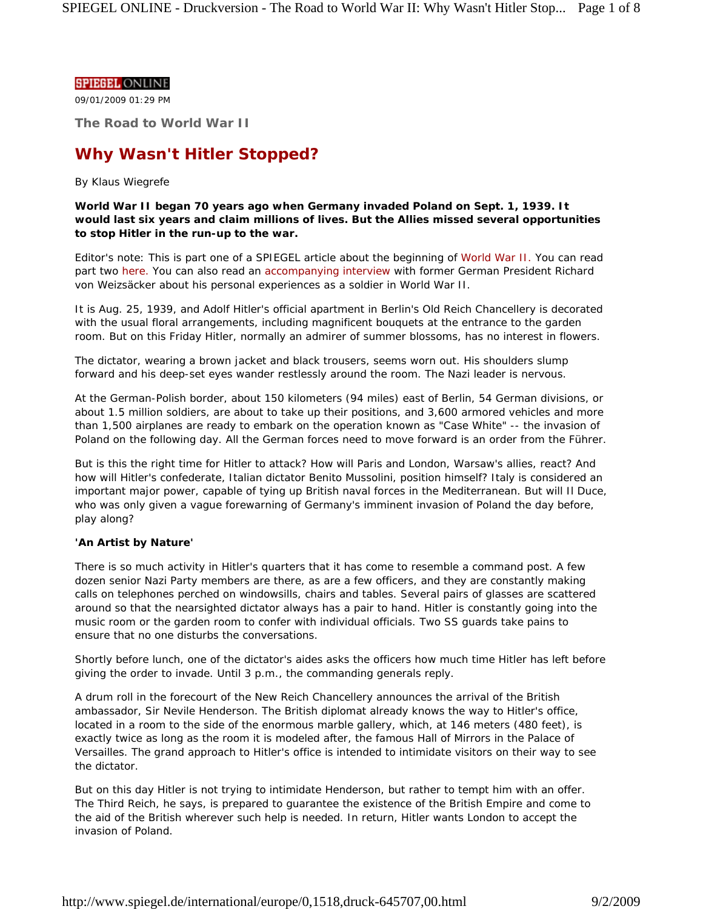#### **SPIEGEL ONLINE**

09/01/2009 01:29 PM

**The Road to World War II**

# **Why Wasn't Hitler Stopped?**

## *By Klaus Wiegrefe*

**World War II began 70 years ago when Germany invaded Poland on Sept. 1, 1939. It would last six years and claim millions of lives. But the Allies missed several opportunities to stop Hitler in the run-up to the war.**

*Editor's note: This is part one of a SPIEGEL article about the beginning of World War II. You can read*  part two here. You can also read an accompanying interview with former German President Richard *von Weizsäcker about his personal experiences as a soldier in World War II.* 

It is Aug. 25, 1939, and Adolf Hitler's official apartment in Berlin's Old Reich Chancellery is decorated with the usual floral arrangements, including magnificent bouquets at the entrance to the garden room. But on this Friday Hitler, normally an admirer of summer blossoms, has no interest in flowers.

The dictator, wearing a brown jacket and black trousers, seems worn out. His shoulders slump forward and his deep-set eyes wander restlessly around the room. The Nazi leader is nervous.

At the German-Polish border, about 150 kilometers (94 miles) east of Berlin, 54 German divisions, or about 1.5 million soldiers, are about to take up their positions, and 3,600 armored vehicles and more than 1,500 airplanes are ready to embark on the operation known as "Case White" -- the invasion of Poland on the following day. All the German forces need to move forward is an order from the Führer.

But is this the right time for Hitler to attack? How will Paris and London, Warsaw's allies, react? And how will Hitler's confederate, Italian dictator Benito Mussolini, position himself? Italy is considered an important major power, capable of tying up British naval forces in the Mediterranean. But will Il Duce, who was only given a vague forewarning of Germany's imminent invasion of Poland the day before, play along?

## **'An Artist by Nature'**

There is so much activity in Hitler's quarters that it has come to resemble a command post. A few dozen senior Nazi Party members are there, as are a few officers, and they are constantly making calls on telephones perched on windowsills, chairs and tables. Several pairs of glasses are scattered around so that the nearsighted dictator always has a pair to hand. Hitler is constantly going into the music room or the garden room to confer with individual officials. Two SS guards take pains to ensure that no one disturbs the conversations.

Shortly before lunch, one of the dictator's aides asks the officers how much time Hitler has left before giving the order to invade. Until 3 p.m., the commanding generals reply.

A drum roll in the forecourt of the New Reich Chancellery announces the arrival of the British ambassador, Sir Nevile Henderson. The British diplomat already knows the way to Hitler's office, located in a room to the side of the enormous marble gallery, which, at 146 meters (480 feet), is exactly twice as long as the room it is modeled after, the famous Hall of Mirrors in the Palace of Versailles. The grand approach to Hitler's office is intended to intimidate visitors on their way to see the dictator.

But on this day Hitler is not trying to intimidate Henderson, but rather to tempt him with an offer. The Third Reich, he says, is prepared to guarantee the existence of the British Empire and come to the aid of the British wherever such help is needed. In return, Hitler wants London to accept the invasion of Poland.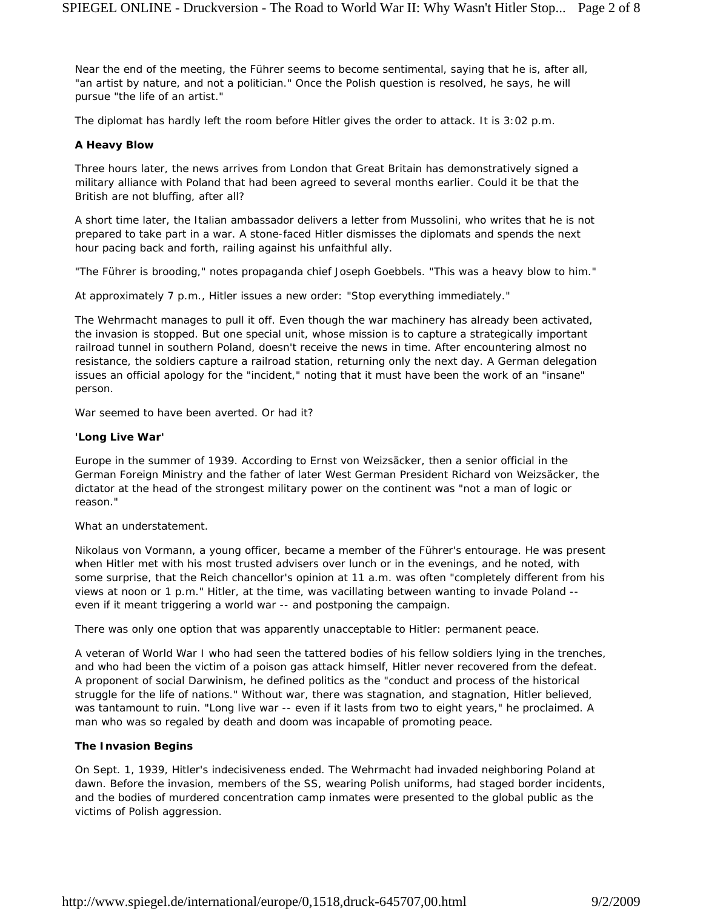Near the end of the meeting, the Führer seems to become sentimental, saying that he is, after all, "an artist by nature, and not a politician." Once the Polish question is resolved, he says, he will pursue "the life of an artist."

The diplomat has hardly left the room before Hitler gives the order to attack. It is 3:02 p.m.

## **A Heavy Blow**

Three hours later, the news arrives from London that Great Britain has demonstratively signed a military alliance with Poland that had been agreed to several months earlier. Could it be that the British are not bluffing, after all?

A short time later, the Italian ambassador delivers a letter from Mussolini, who writes that he is not prepared to take part in a war. A stone-faced Hitler dismisses the diplomats and spends the next hour pacing back and forth, railing against his unfaithful ally.

"The Führer is brooding," notes propaganda chief Joseph Goebbels. "This was a heavy blow to him."

At approximately 7 p.m., Hitler issues a new order: "Stop everything immediately."

The Wehrmacht manages to pull it off. Even though the war machinery has already been activated, the invasion is stopped. But one special unit, whose mission is to capture a strategically important railroad tunnel in southern Poland, doesn't receive the news in time. After encountering almost no resistance, the soldiers capture a railroad station, returning only the next day. A German delegation issues an official apology for the "incident," noting that it must have been the work of an "insane" person.

War seemed to have been averted. Or had it?

### **'Long Live War'**

Europe in the summer of 1939. According to Ernst von Weizsäcker, then a senior official in the German Foreign Ministry and the father of later West German President Richard von Weizsäcker, the dictator at the head of the strongest military power on the continent was "not a man of logic or reason."

What an understatement.

Nikolaus von Vormann, a young officer, became a member of the Führer's entourage. He was present when Hitler met with his most trusted advisers over lunch or in the evenings, and he noted, with some surprise, that the Reich chancellor's opinion at 11 a.m. was often "completely different from his views at noon or 1 p.m." Hitler, at the time, was vacillating between wanting to invade Poland - even if it meant triggering a world war -- and postponing the campaign.

There was only one option that was apparently unacceptable to Hitler: permanent peace.

A veteran of World War I who had seen the tattered bodies of his fellow soldiers lying in the trenches, and who had been the victim of a poison gas attack himself, Hitler never recovered from the defeat. A proponent of social Darwinism, he defined politics as the "conduct and process of the historical struggle for the life of nations." Without war, there was stagnation, and stagnation, Hitler believed, was tantamount to ruin. "Long live war -- even if it lasts from two to eight years," he proclaimed. A man who was so regaled by death and doom was incapable of promoting peace.

## **The Invasion Begins**

On Sept. 1, 1939, Hitler's indecisiveness ended. The Wehrmacht had invaded neighboring Poland at dawn. Before the invasion, members of the SS, wearing Polish uniforms, had staged border incidents, and the bodies of murdered concentration camp inmates were presented to the global public as the victims of Polish aggression.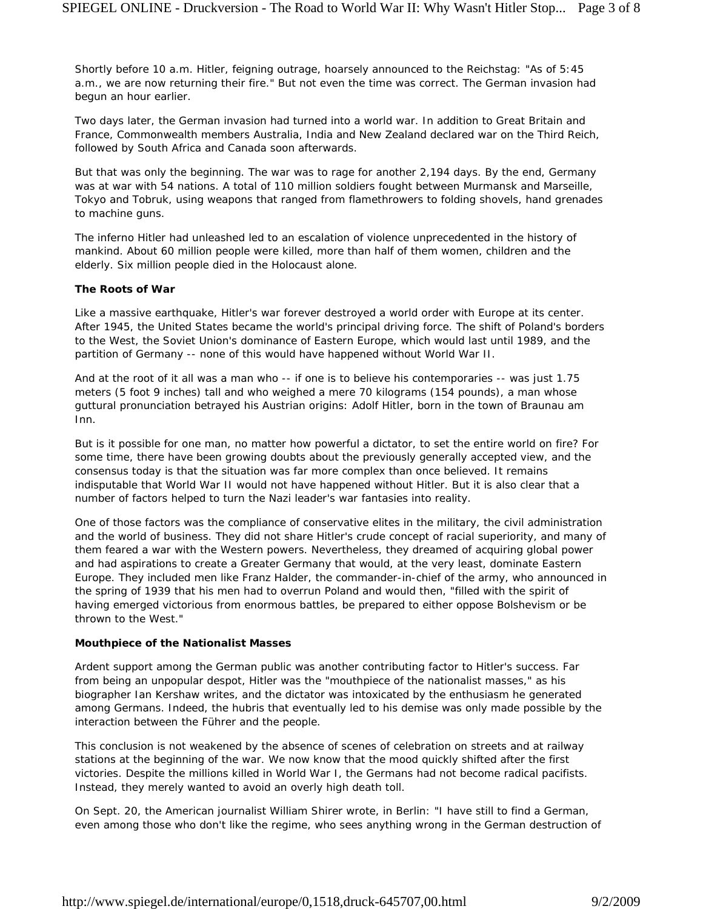Shortly before 10 a.m. Hitler, feigning outrage, hoarsely announced to the Reichstag: "As of 5:45 a.m., we are now returning their fire." But not even the time was correct. The German invasion had begun an hour earlier.

Two days later, the German invasion had turned into a world war. In addition to Great Britain and France, Commonwealth members Australia, India and New Zealand declared war on the Third Reich, followed by South Africa and Canada soon afterwards.

But that was only the beginning. The war was to rage for another 2,194 days. By the end, Germany was at war with 54 nations. A total of 110 million soldiers fought between Murmansk and Marseille, Tokyo and Tobruk, using weapons that ranged from flamethrowers to folding shovels, hand grenades to machine guns.

The inferno Hitler had unleashed led to an escalation of violence unprecedented in the history of mankind. About 60 million people were killed, more than half of them women, children and the elderly. Six million people died in the Holocaust alone.

### **The Roots of War**

Like a massive earthquake, Hitler's war forever destroyed a world order with Europe at its center. After 1945, the United States became the world's principal driving force. The shift of Poland's borders to the West, the Soviet Union's dominance of Eastern Europe, which would last until 1989, and the partition of Germany -- none of this would have happened without World War II.

And at the root of it all was a man who -- if one is to believe his contemporaries -- was just 1.75 meters (5 foot 9 inches) tall and who weighed a mere 70 kilograms (154 pounds), a man whose guttural pronunciation betrayed his Austrian origins: Adolf Hitler, born in the town of Braunau am Inn.

But is it possible for one man, no matter how powerful a dictator, to set the entire world on fire? For some time, there have been growing doubts about the previously generally accepted view, and the consensus today is that the situation was far more complex than once believed. It remains indisputable that World War II would not have happened without Hitler. But it is also clear that a number of factors helped to turn the Nazi leader's war fantasies into reality.

One of those factors was the compliance of conservative elites in the military, the civil administration and the world of business. They did not share Hitler's crude concept of racial superiority, and many of them feared a war with the Western powers. Nevertheless, they dreamed of acquiring global power and had aspirations to create a Greater Germany that would, at the very least, dominate Eastern Europe. They included men like Franz Halder, the commander-in-chief of the army, who announced in the spring of 1939 that his men had to overrun Poland and would then, "filled with the spirit of having emerged victorious from enormous battles, be prepared to either oppose Bolshevism or be thrown to the West."

### **Mouthpiece of the Nationalist Masses**

Ardent support among the German public was another contributing factor to Hitler's success. Far from being an unpopular despot, Hitler was the "mouthpiece of the nationalist masses," as his biographer Ian Kershaw writes, and the dictator was intoxicated by the enthusiasm he generated among Germans. Indeed, the hubris that eventually led to his demise was only made possible by the interaction between the Führer and the people.

This conclusion is not weakened by the absence of scenes of celebration on streets and at railway stations at the beginning of the war. We now know that the mood quickly shifted after the first victories. Despite the millions killed in World War I, the Germans had not become radical pacifists. Instead, they merely wanted to avoid an overly high death toll.

On Sept. 20, the American journalist William Shirer wrote, in Berlin: "I have still to find a German, even among those who don't like the regime, who sees anything wrong in the German destruction of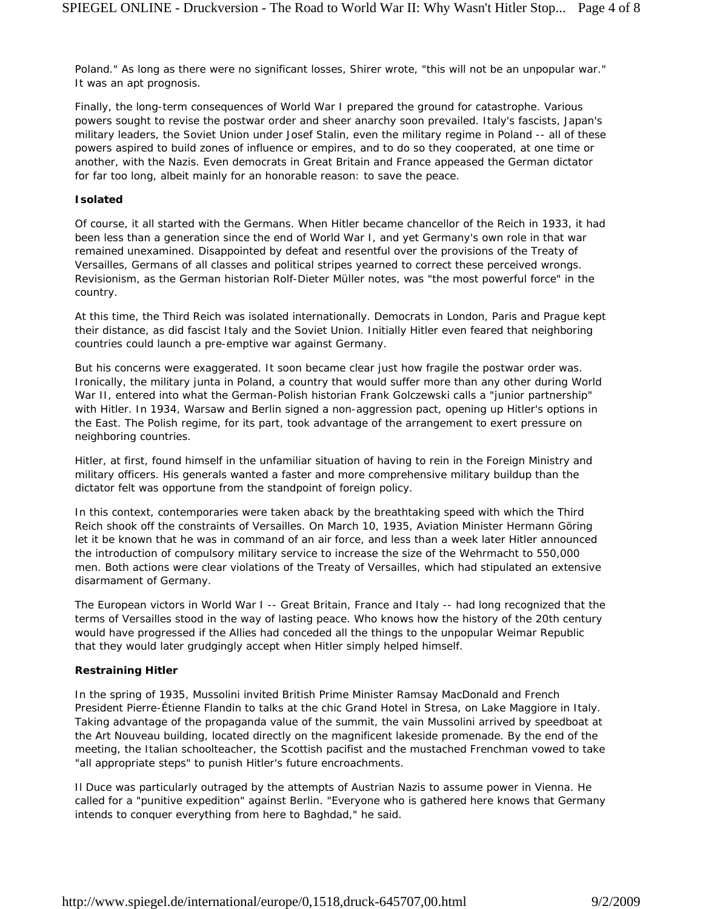Poland." As long as there were no significant losses, Shirer wrote, "this will not be an unpopular war." It was an apt prognosis.

Finally, the long-term consequences of World War I prepared the ground for catastrophe. Various powers sought to revise the postwar order and sheer anarchy soon prevailed. Italy's fascists, Japan's military leaders, the Soviet Union under Josef Stalin, even the military regime in Poland -- all of these powers aspired to build zones of influence or empires, and to do so they cooperated, at one time or another, with the Nazis. Even democrats in Great Britain and France appeased the German dictator for far too long, albeit mainly for an honorable reason: to save the peace.

#### **Isolated**

Of course, it all started with the Germans. When Hitler became chancellor of the Reich in 1933, it had been less than a generation since the end of World War I, and yet Germany's own role in that war remained unexamined. Disappointed by defeat and resentful over the provisions of the Treaty of Versailles, Germans of all classes and political stripes yearned to correct these perceived wrongs. Revisionism, as the German historian Rolf-Dieter Müller notes, was "the most powerful force" in the country.

At this time, the Third Reich was isolated internationally. Democrats in London, Paris and Prague kept their distance, as did fascist Italy and the Soviet Union. Initially Hitler even feared that neighboring countries could launch a pre-emptive war against Germany.

But his concerns were exaggerated. It soon became clear just how fragile the postwar order was. Ironically, the military junta in Poland, a country that would suffer more than any other during World War II, entered into what the German-Polish historian Frank Golczewski calls a "junior partnership" with Hitler. In 1934, Warsaw and Berlin signed a non-aggression pact, opening up Hitler's options in the East. The Polish regime, for its part, took advantage of the arrangement to exert pressure on neighboring countries.

Hitler, at first, found himself in the unfamiliar situation of having to rein in the Foreign Ministry and military officers. His generals wanted a faster and more comprehensive military buildup than the dictator felt was opportune from the standpoint of foreign policy.

In this context, contemporaries were taken aback by the breathtaking speed with which the Third Reich shook off the constraints of Versailles. On March 10, 1935, Aviation Minister Hermann Göring let it be known that he was in command of an air force, and less than a week later Hitler announced the introduction of compulsory military service to increase the size of the Wehrmacht to 550,000 men. Both actions were clear violations of the Treaty of Versailles, which had stipulated an extensive disarmament of Germany.

The European victors in World War I -- Great Britain, France and Italy -- had long recognized that the terms of Versailles stood in the way of lasting peace. Who knows how the history of the 20th century would have progressed if the Allies had conceded all the things to the unpopular Weimar Republic that they would later grudgingly accept when Hitler simply helped himself.

#### **Restraining Hitler**

In the spring of 1935, Mussolini invited British Prime Minister Ramsay MacDonald and French President Pierre-Étienne Flandin to talks at the chic Grand Hotel in Stresa, on Lake Maggiore in Italy. Taking advantage of the propaganda value of the summit, the vain Mussolini arrived by speedboat at the Art Nouveau building, located directly on the magnificent lakeside promenade. By the end of the meeting, the Italian schoolteacher, the Scottish pacifist and the mustached Frenchman vowed to take "all appropriate steps" to punish Hitler's future encroachments.

Il Duce was particularly outraged by the attempts of Austrian Nazis to assume power in Vienna. He called for a "punitive expedition" against Berlin. "Everyone who is gathered here knows that Germany intends to conquer everything from here to Baghdad," he said.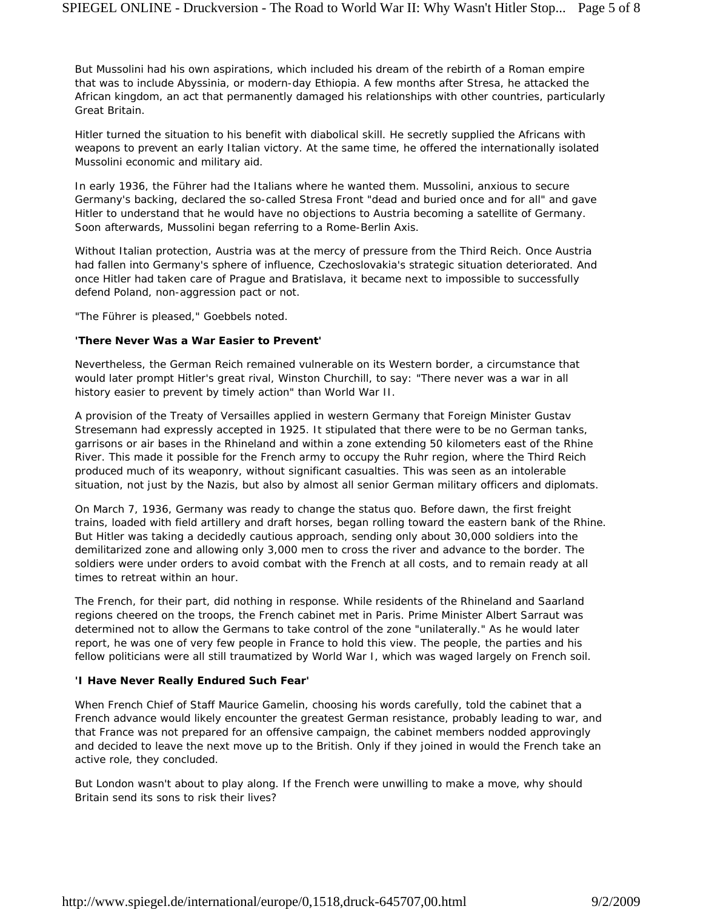But Mussolini had his own aspirations, which included his dream of the rebirth of a Roman empire that was to include Abyssinia, or modern-day Ethiopia. A few months after Stresa, he attacked the African kingdom, an act that permanently damaged his relationships with other countries, particularly Great Britain.

Hitler turned the situation to his benefit with diabolical skill. He secretly supplied the Africans with weapons to prevent an early Italian victory. At the same time, he offered the internationally isolated Mussolini economic and military aid.

In early 1936, the Führer had the Italians where he wanted them. Mussolini, anxious to secure Germany's backing, declared the so-called Stresa Front "dead and buried once and for all" and gave Hitler to understand that he would have no objections to Austria becoming a satellite of Germany. Soon afterwards, Mussolini began referring to a Rome-Berlin Axis.

Without Italian protection, Austria was at the mercy of pressure from the Third Reich. Once Austria had fallen into Germany's sphere of influence, Czechoslovakia's strategic situation deteriorated. And once Hitler had taken care of Prague and Bratislava, it became next to impossible to successfully defend Poland, non-aggression pact or not.

"The Führer is pleased," Goebbels noted.

### **'There Never Was a War Easier to Prevent'**

Nevertheless, the German Reich remained vulnerable on its Western border, a circumstance that would later prompt Hitler's great rival, Winston Churchill, to say: "There never was a war in all history easier to prevent by timely action" than World War II.

A provision of the Treaty of Versailles applied in western Germany that Foreign Minister Gustav Stresemann had expressly accepted in 1925. It stipulated that there were to be no German tanks, garrisons or air bases in the Rhineland and within a zone extending 50 kilometers east of the Rhine River. This made it possible for the French army to occupy the Ruhr region, where the Third Reich produced much of its weaponry, without significant casualties. This was seen as an intolerable situation, not just by the Nazis, but also by almost all senior German military officers and diplomats.

On March 7, 1936, Germany was ready to change the status quo. Before dawn, the first freight trains, loaded with field artillery and draft horses, began rolling toward the eastern bank of the Rhine. But Hitler was taking a decidedly cautious approach, sending only about 30,000 soldiers into the demilitarized zone and allowing only 3,000 men to cross the river and advance to the border. The soldiers were under orders to avoid combat with the French at all costs, and to remain ready at all times to retreat within an hour.

The French, for their part, did nothing in response. While residents of the Rhineland and Saarland regions cheered on the troops, the French cabinet met in Paris. Prime Minister Albert Sarraut was determined not to allow the Germans to take control of the zone "unilaterally." As he would later report, he was one of very few people in France to hold this view. The people, the parties and his fellow politicians were all still traumatized by World War I, which was waged largely on French soil.

## **'I Have Never Really Endured Such Fear'**

When French Chief of Staff Maurice Gamelin, choosing his words carefully, told the cabinet that a French advance would likely encounter the greatest German resistance, probably leading to war, and that France was not prepared for an offensive campaign, the cabinet members nodded approvingly and decided to leave the next move up to the British. Only if they joined in would the French take an active role, they concluded.

But London wasn't about to play along. If the French were unwilling to make a move, why should Britain send its sons to risk their lives?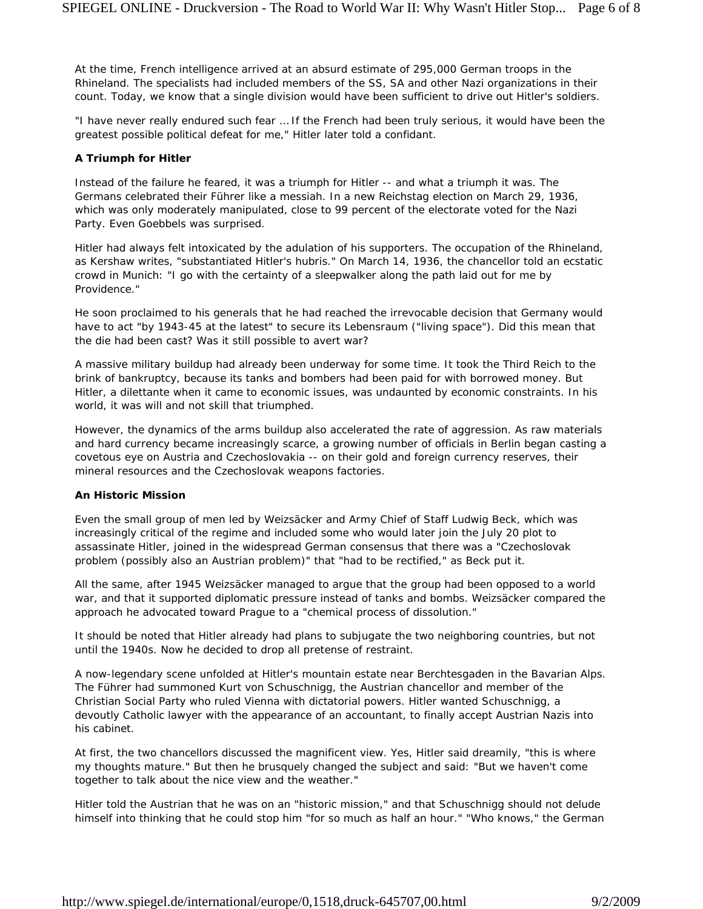At the time, French intelligence arrived at an absurd estimate of 295,000 German troops in the Rhineland. The specialists had included members of the SS, SA and other Nazi organizations in their count. Today, we know that a single division would have been sufficient to drive out Hitler's soldiers.

"I have never really endured such fear … If the French had been truly serious, it would have been the greatest possible political defeat for me," Hitler later told a confidant.

### **A Triumph for Hitler**

Instead of the failure he feared, it was a triumph for Hitler -- and what a triumph it was. The Germans celebrated their Führer like a messiah. In a new Reichstag election on March 29, 1936, which was only moderately manipulated, close to 99 percent of the electorate voted for the Nazi Party. Even Goebbels was surprised.

Hitler had always felt intoxicated by the adulation of his supporters. The occupation of the Rhineland, as Kershaw writes, "substantiated Hitler's hubris." On March 14, 1936, the chancellor told an ecstatic crowd in Munich: "I go with the certainty of a sleepwalker along the path laid out for me by Providence."

He soon proclaimed to his generals that he had reached the irrevocable decision that Germany would have to act "by 1943-45 at the latest" to secure its *Lebensraum* ("living space"). Did this mean that the die had been cast? Was it still possible to avert war?

A massive military buildup had already been underway for some time. It took the Third Reich to the brink of bankruptcy, because its tanks and bombers had been paid for with borrowed money. But Hitler, a dilettante when it came to economic issues, was undaunted by economic constraints. In his world, it was will and not skill that triumphed.

However, the dynamics of the arms buildup also accelerated the rate of aggression. As raw materials and hard currency became increasingly scarce, a growing number of officials in Berlin began casting a covetous eye on Austria and Czechoslovakia -- on their gold and foreign currency reserves, their mineral resources and the Czechoslovak weapons factories.

#### **An Historic Mission**

Even the small group of men led by Weizsäcker and Army Chief of Staff Ludwig Beck, which was increasingly critical of the regime and included some who would later join the July 20 plot to assassinate Hitler, joined in the widespread German consensus that there was a "Czechoslovak problem (possibly also an Austrian problem)" that "had to be rectified," as Beck put it.

All the same, after 1945 Weizsäcker managed to argue that the group had been opposed to a world war, and that it supported diplomatic pressure instead of tanks and bombs. Weizsäcker compared the approach he advocated toward Prague to a "chemical process of dissolution."

It should be noted that Hitler already had plans to subjugate the two neighboring countries, but not until the 1940s. Now he decided to drop all pretense of restraint.

A now-legendary scene unfolded at Hitler's mountain estate near Berchtesgaden in the Bavarian Alps. The Führer had summoned Kurt von Schuschnigg, the Austrian chancellor and member of the Christian Social Party who ruled Vienna with dictatorial powers. Hitler wanted Schuschnigg, a devoutly Catholic lawyer with the appearance of an accountant, to finally accept Austrian Nazis into his cabinet.

At first, the two chancellors discussed the magnificent view. Yes, Hitler said dreamily, "this is where my thoughts mature." But then he brusquely changed the subject and said: "But we haven't come together to talk about the nice view and the weather."

Hitler told the Austrian that he was on an "historic mission," and that Schuschnigg should not delude himself into thinking that he could stop him "for so much as half an hour." "Who knows," the German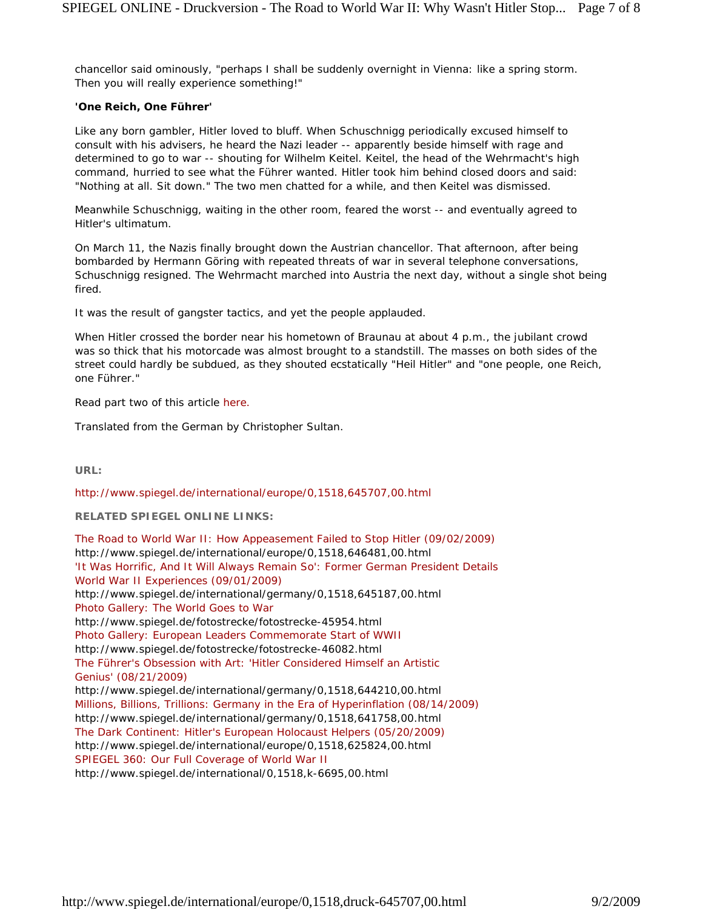chancellor said ominously, "perhaps I shall be suddenly overnight in Vienna: like a spring storm. Then you will really experience something!"

## **'One Reich, One Führer'**

Like any born gambler, Hitler loved to bluff. When Schuschnigg periodically excused himself to consult with his advisers, he heard the Nazi leader -- apparently beside himself with rage and determined to go to war -- shouting for Wilhelm Keitel. Keitel, the head of the Wehrmacht's high command, hurried to see what the Führer wanted. Hitler took him behind closed doors and said: "Nothing at all. Sit down." The two men chatted for a while, and then Keitel was dismissed.

Meanwhile Schuschnigg, waiting in the other room, feared the worst -- and eventually agreed to Hitler's ultimatum.

On March 11, the Nazis finally brought down the Austrian chancellor. That afternoon, after being bombarded by Hermann Göring with repeated threats of war in several telephone conversations, Schuschnigg resigned. The Wehrmacht marched into Austria the next day, without a single shot being fired.

It was the result of gangster tactics, and yet the people applauded.

When Hitler crossed the border near his hometown of Braunau at about 4 p.m., the jubilant crowd was so thick that his motorcade was almost brought to a standstill. The masses on both sides of the street could hardly be subdued, as they shouted ecstatically "Heil Hitler" and "one people, one Reich, one Führer."

*Read part two of this article here.*

*Translated from the German by Christopher Sultan.*

**URL:**

http://www.spiegel.de/international/europe/0,1518,645707,00.html

**RELATED SPIEGEL ONLINE LINKS:**

The Road to World War II: How Appeasement Failed to Stop Hitler (09/02/2009) http://www.spiegel.de/international/europe/0,1518,646481,00.html 'It Was Horrific, And It Will Always Remain So': Former German President Details World War II Experiences (09/01/2009) http://www.spiegel.de/international/germany/0,1518,645187,00.html Photo Gallery: The World Goes to War http://www.spiegel.de/fotostrecke/fotostrecke-45954.html Photo Gallery: European Leaders Commemorate Start of WWII http://www.spiegel.de/fotostrecke/fotostrecke-46082.html The Führer's Obsession with Art: 'Hitler Considered Himself an Artistic Genius' (08/21/2009) http://www.spiegel.de/international/germany/0,1518,644210,00.html Millions, Billions, Trillions: Germany in the Era of Hyperinflation (08/14/2009) http://www.spiegel.de/international/germany/0,1518,641758,00.html The Dark Continent: Hitler's European Holocaust Helpers (05/20/2009) http://www.spiegel.de/international/europe/0,1518,625824,00.html SPIEGEL 360: Our Full Coverage of World War II http://www.spiegel.de/international/0,1518,k-6695,00.html